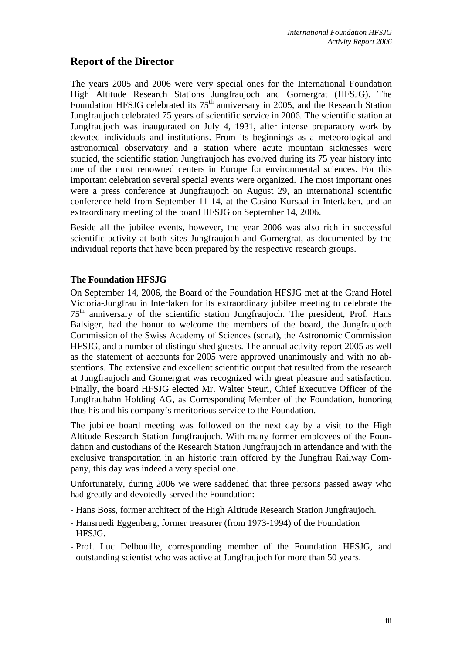# **Report of the Director**

The years 2005 and 2006 were very special ones for the International Foundation High Altitude Research Stations Jungfraujoch and Gornergrat (HFSJG). The Foundation HFSJG celebrated its  $75<sup>th</sup>$  anniversary in 2005, and the Research Station Jungfraujoch celebrated 75 years of scientific service in 2006. The scientific station at Jungfraujoch was inaugurated on July 4, 1931, after intense preparatory work by devoted individuals and institutions. From its beginnings as a meteorological and astronomical observatory and a station where acute mountain sicknesses were studied, the scientific station Jungfraujoch has evolved during its 75 year history into one of the most renowned centers in Europe for environmental sciences. For this important celebration several special events were organized. The most important ones were a press conference at Jungfraujoch on August 29, an international scientific conference held from September 11-14, at the Casino-Kursaal in Interlaken, and an extraordinary meeting of the board HFSJG on September 14, 2006.

Beside all the jubilee events, however, the year 2006 was also rich in successful scientific activity at both sites Jungfraujoch and Gornergrat, as documented by the individual reports that have been prepared by the respective research groups.

#### **The Foundation HFSJG**

On September 14, 2006, the Board of the Foundation HFSJG met at the Grand Hotel Victoria-Jungfrau in Interlaken for its extraordinary jubilee meeting to celebrate the  $75<sup>th</sup>$  anniversary of the scientific station Jungfraujoch. The president, Prof. Hans Balsiger, had the honor to welcome the members of the board, the Jungfraujoch Commission of the Swiss Academy of Sciences (scnat), the Astronomic Commission HFSJG, and a number of distinguished guests. The annual activity report 2005 as well as the statement of accounts for 2005 were approved unanimously and with no abstentions. The extensive and excellent scientific output that resulted from the research at Jungfraujoch and Gornergrat was recognized with great pleasure and satisfaction. Finally, the board HFSJG elected Mr. Walter Steuri, Chief Executive Officer of the Jungfraubahn Holding AG, as Corresponding Member of the Foundation, honoring thus his and his company's meritorious service to the Foundation.

The jubilee board meeting was followed on the next day by a visit to the High Altitude Research Station Jungfraujoch. With many former employees of the Foundation and custodians of the Research Station Jungfraujoch in attendance and with the exclusive transportation in an historic train offered by the Jungfrau Railway Company, this day was indeed a very special one.

Unfortunately, during 2006 we were saddened that three persons passed away who had greatly and devotedly served the Foundation:

- Hans Boss, former architect of the High Altitude Research Station Jungfraujoch.
- Hansruedi Eggenberg, former treasurer (from 1973-1994) of the Foundation HFSJG.
- Prof. Luc Delbouille, corresponding member of the Foundation HFSJG, and outstanding scientist who was active at Jungfraujoch for more than 50 years.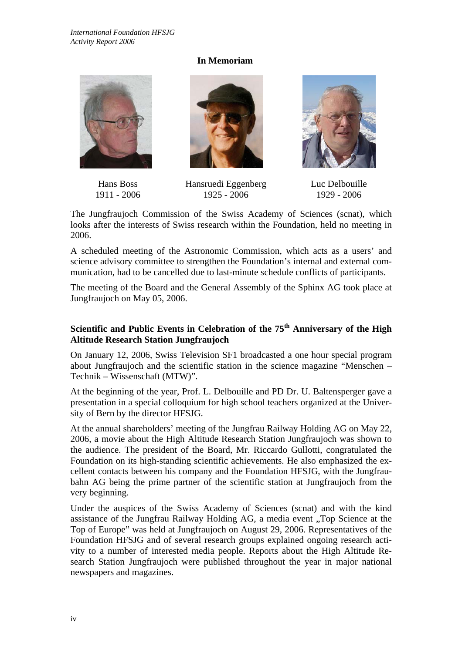## **In Memoriam**



Hans Boss 1911 - 2006







Luc Delbouille 1929 - 2006

The Jungfraujoch Commission of the Swiss Academy of Sciences (scnat), which looks after the interests of Swiss research within the Foundation, held no meeting in 2006.

1925 - 2006

A scheduled meeting of the Astronomic Commission, which acts as a users' and science advisory committee to strengthen the Foundation's internal and external communication, had to be cancelled due to last-minute schedule conflicts of participants.

The meeting of the Board and the General Assembly of the Sphinx AG took place at Jungfraujoch on May 05, 2006.

## **Scientific and Public Events in Celebration of the 75th Anniversary of the High Altitude Research Station Jungfraujoch**

On January 12, 2006, Swiss Television SF1 broadcasted a one hour special program about Jungfraujoch and the scientific station in the science magazine "Menschen – Technik – Wissenschaft (MTW)".

At the beginning of the year, Prof. L. Delbouille and PD Dr. U. Baltensperger gave a presentation in a special colloquium for high school teachers organized at the University of Bern by the director HFSJG.

At the annual shareholders' meeting of the Jungfrau Railway Holding AG on May 22, 2006, a movie about the High Altitude Research Station Jungfraujoch was shown to the audience. The president of the Board, Mr. Riccardo Gullotti, congratulated the Foundation on its high-standing scientific achievements. He also emphasized the excellent contacts between his company and the Foundation HFSJG, with the Jungfraubahn AG being the prime partner of the scientific station at Jungfraujoch from the very beginning.

Under the auspices of the Swiss Academy of Sciences (scnat) and with the kind assistance of the Jungfrau Railway Holding AG, a media event "Top Science at the Top of Europe" was held at Jungfraujoch on August 29, 2006. Representatives of the Foundation HFSJG and of several research groups explained ongoing research activity to a number of interested media people. Reports about the High Altitude Research Station Jungfraujoch were published throughout the year in major national newspapers and magazines.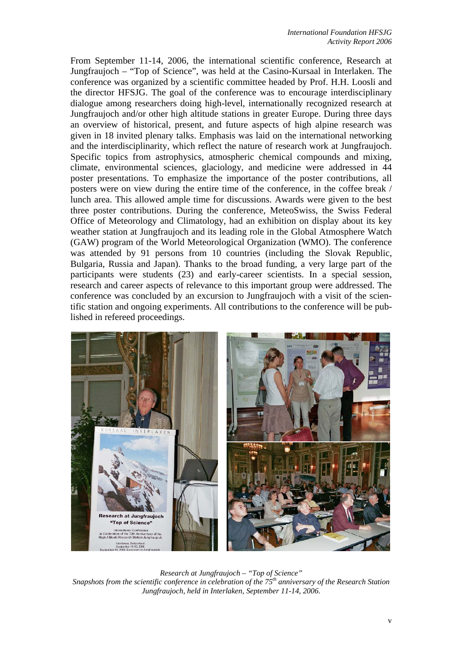From September 11-14, 2006, the international scientific conference, Research at Jungfraujoch – "Top of Science", was held at the Casino-Kursaal in Interlaken. The conference was organized by a scientific committee headed by Prof. H.H. Loosli and the director HFSJG. The goal of the conference was to encourage interdisciplinary dialogue among researchers doing high-level, internationally recognized research at Jungfraujoch and/or other high altitude stations in greater Europe. During three days an overview of historical, present, and future aspects of high alpine research was given in 18 invited plenary talks. Emphasis was laid on the international networking and the interdisciplinarity, which reflect the nature of research work at Jungfraujoch. Specific topics from astrophysics, atmospheric chemical compounds and mixing, climate, environmental sciences, glaciology, and medicine were addressed in 44 poster presentations. To emphasize the importance of the poster contributions, all posters were on view during the entire time of the conference, in the coffee break / lunch area. This allowed ample time for discussions. Awards were given to the best three poster contributions. During the conference, MeteoSwiss, the Swiss Federal Office of Meteorology and Climatology, had an exhibition on display about its key weather station at Jungfraujoch and its leading role in the Global Atmosphere Watch (GAW) program of the World Meteorological Organization (WMO). The conference was attended by 91 persons from 10 countries (including the Slovak Republic, Bulgaria, Russia and Japan). Thanks to the broad funding, a very large part of the participants were students (23) and early-career scientists. In a special session, research and career aspects of relevance to this important group were addressed. The conference was concluded by an excursion to Jungfraujoch with a visit of the scientific station and ongoing experiments. All contributions to the conference will be published in refereed proceedings.



*Research at Jungfraujoch – "Top of Science" Snapshots from the scientific conference in celebration of the 75th anniversary of the Research Station Jungfraujoch, held in Interlaken, September 11-14, 2006.*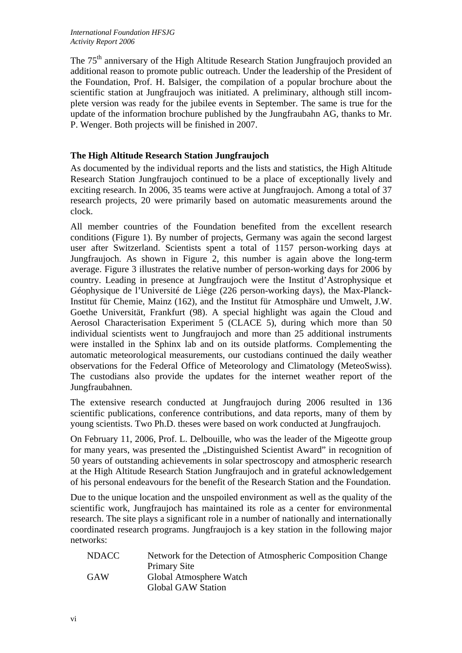The 75<sup>th</sup> anniversary of the High Altitude Research Station Jungfraujoch provided an additional reason to promote public outreach. Under the leadership of the President of the Foundation, Prof. H. Balsiger, the compilation of a popular brochure about the scientific station at Jungfraujoch was initiated. A preliminary, although still incomplete version was ready for the jubilee events in September. The same is true for the update of the information brochure published by the Jungfraubahn AG, thanks to Mr. P. Wenger. Both projects will be finished in 2007.

### **The High Altitude Research Station Jungfraujoch**

As documented by the individual reports and the lists and statistics, the High Altitude Research Station Jungfraujoch continued to be a place of exceptionally lively and exciting research. In 2006, 35 teams were active at Jungfraujoch. Among a total of 37 research projects, 20 were primarily based on automatic measurements around the clock.

All member countries of the Foundation benefited from the excellent research conditions (Figure 1). By number of projects, Germany was again the second largest user after Switzerland. Scientists spent a total of 1157 person-working days at Jungfraujoch. As shown in Figure 2, this number is again above the long-term average. Figure 3 illustrates the relative number of person-working days for 2006 by country. Leading in presence at Jungfraujoch were the Institut d'Astrophysique et Géophysique de l'Université de Liège (226 person-working days), the Max-Planck-Institut für Chemie, Mainz (162), and the Institut für Atmosphäre und Umwelt, J.W. Goethe Universität, Frankfurt (98). A special highlight was again the Cloud and Aerosol Characterisation Experiment 5 (CLACE 5), during which more than 50 individual scientists went to Jungfraujoch and more than 25 additional instruments were installed in the Sphinx lab and on its outside platforms. Complementing the automatic meteorological measurements, our custodians continued the daily weather observations for the Federal Office of Meteorology and Climatology (MeteoSwiss). The custodians also provide the updates for the internet weather report of the Jungfraubahnen.

The extensive research conducted at Jungfraujoch during 2006 resulted in 136 scientific publications, conference contributions, and data reports, many of them by young scientists. Two Ph.D. theses were based on work conducted at Jungfraujoch.

On February 11, 2006, Prof. L. Delbouille, who was the leader of the Migeotte group for many years, was presented the "Distinguished Scientist Award" in recognition of 50 years of outstanding achievements in solar spectroscopy and atmospheric research at the High Altitude Research Station Jungfraujoch and in grateful acknowledgement of his personal endeavours for the benefit of the Research Station and the Foundation.

Due to the unique location and the unspoiled environment as well as the quality of the scientific work, Jungfraujoch has maintained its role as a center for environmental research. The site plays a significant role in a number of nationally and internationally coordinated research programs. Jungfraujoch is a key station in the following major networks:

| <b>NDACC</b> | Network for the Detection of Atmospheric Composition Change |
|--------------|-------------------------------------------------------------|
|              | <b>Primary Site</b>                                         |
| GAW          | Global Atmosphere Watch                                     |
|              | <b>Global GAW Station</b>                                   |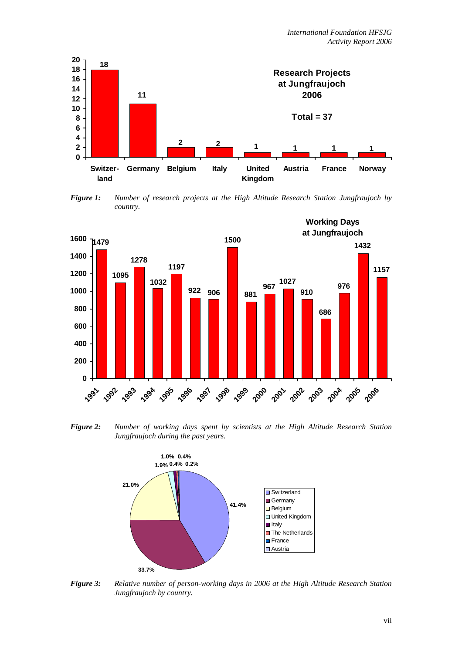

*Figure 1: Number of research projects at the High Altitude Research Station Jungfraujoch by country.* 



*Figure 2: Number of working days spent by scientists at the High Altitude Research Station Jungfraujoch during the past years.* 



*Figure 3: Relative number of person-working days in 2006 at the High Altitude Research Station Jungfraujoch by country.*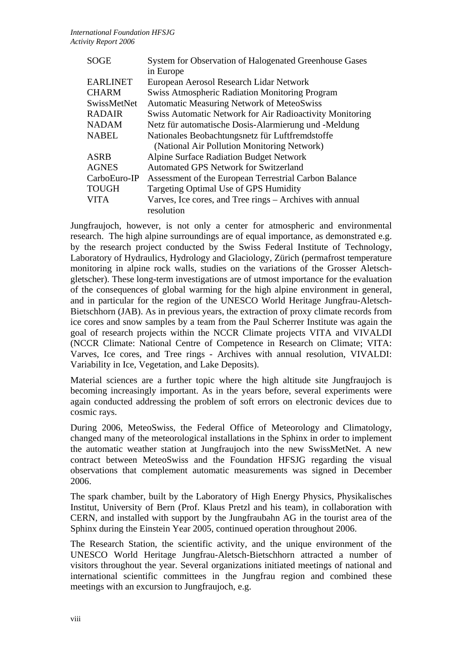| <b>SOGE</b>     | System for Observation of Halogenated Greenhouse Gases          |
|-----------------|-----------------------------------------------------------------|
|                 | in Europe                                                       |
| <b>EARLINET</b> | European Aerosol Research Lidar Network                         |
| <b>CHARM</b>    | <b>Swiss Atmospheric Radiation Monitoring Program</b>           |
| SwissMetNet     | <b>Automatic Measuring Network of MeteoSwiss</b>                |
| <b>RADAIR</b>   | <b>Swiss Automatic Network for Air Radioactivity Monitoring</b> |
| <b>NADAM</b>    | Netz für automatische Dosis-Alarmierung und -Meldung            |
| <b>NABEL</b>    | Nationales Beobachtungsnetz für Luftfremdstoffe                 |
|                 | (National Air Pollution Monitoring Network)                     |
| <b>ASRB</b>     | <b>Alpine Surface Radiation Budget Network</b>                  |
| <b>AGNES</b>    | <b>Automated GPS Network for Switzerland</b>                    |
| CarboEuro-IP    | Assessment of the European Terrestrial Carbon Balance           |
| <b>TOUGH</b>    | Targeting Optimal Use of GPS Humidity                           |
| <b>VITA</b>     | Varves, Ice cores, and Tree rings – Archives with annual        |
|                 | resolution                                                      |

Jungfraujoch, however, is not only a center for atmospheric and environmental research. The high alpine surroundings are of equal importance, as demonstrated e.g. by the research project conducted by the Swiss Federal Institute of Technology, Laboratory of Hydraulics, Hydrology and Glaciology, Zürich (permafrost temperature monitoring in alpine rock walls, studies on the variations of the Grosser Aletschgletscher). These long-term investigations are of utmost importance for the evaluation of the consequences of global warming for the high alpine environment in general, and in particular for the region of the UNESCO World Heritage Jungfrau-Aletsch-Bietschhorn (JAB). As in previous years, the extraction of proxy climate records from ice cores and snow samples by a team from the Paul Scherrer Institute was again the goal of research projects within the NCCR Climate projects VITA and VIVALDI (NCCR Climate: National Centre of Competence in Research on Climate; VITA: Varves, Ice cores, and Tree rings - Archives with annual resolution, VIVALDI: Variability in Ice, Vegetation, and Lake Deposits).

Material sciences are a further topic where the high altitude site Jungfraujoch is becoming increasingly important. As in the years before, several experiments were again conducted addressing the problem of soft errors on electronic devices due to cosmic rays.

During 2006, MeteoSwiss, the Federal Office of Meteorology and Climatology, changed many of the meteorological installations in the Sphinx in order to implement the automatic weather station at Jungfraujoch into the new SwissMetNet. A new contract between MeteoSwiss and the Foundation HFSJG regarding the visual observations that complement automatic measurements was signed in December 2006.

The spark chamber, built by the Laboratory of High Energy Physics, Physikalisches Institut, University of Bern (Prof. Klaus Pretzl and his team), in collaboration with CERN, and installed with support by the Jungfraubahn AG in the tourist area of the Sphinx during the Einstein Year 2005, continued operation throughout 2006.

The Research Station, the scientific activity, and the unique environment of the UNESCO World Heritage Jungfrau-Aletsch-Bietschhorn attracted a number of visitors throughout the year. Several organizations initiated meetings of national and international scientific committees in the Jungfrau region and combined these meetings with an excursion to Jungfraujoch, e.g.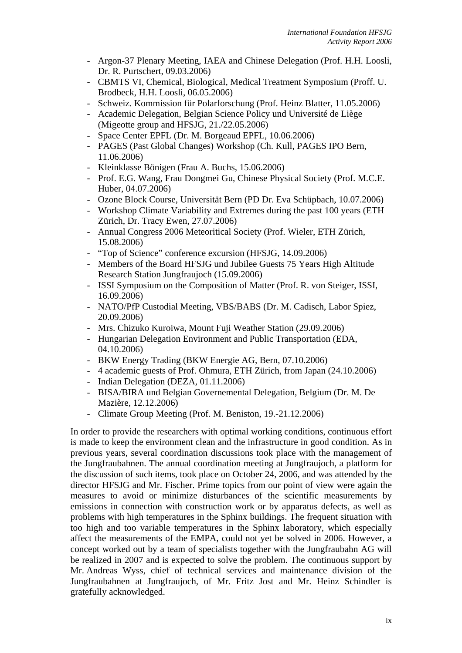- Argon-37 Plenary Meeting, IAEA and Chinese Delegation (Prof. H.H. Loosli, Dr. R. Purtschert, 09.03.2006)
- CBMTS VI, Chemical, Biological, Medical Treatment Symposium (Proff. U. Brodbeck, H.H. Loosli, 06.05.2006)
- Schweiz. Kommission für Polarforschung (Prof. Heinz Blatter, 11.05.2006)
- Academic Delegation, Belgian Science Policy und Université de Liège (Migeotte group and HFSJG, 21./22.05.2006)
- Space Center EPFL (Dr. M. Borgeaud EPFL, 10.06.2006)
- PAGES (Past Global Changes) Workshop (Ch. Kull, PAGES IPO Bern, 11.06.2006)
- Kleinklasse Bönigen (Frau A. Buchs, 15.06.2006)
- Prof. E.G. Wang, Frau Dongmei Gu, Chinese Physical Society (Prof. M.C.E. Huber, 04.07.2006)
- Ozone Block Course, Universität Bern (PD Dr. Eva Schüpbach, 10.07.2006)
- Workshop Climate Variability and Extremes during the past 100 years (ETH Zürich, Dr. Tracy Ewen, 27.07.2006)
- Annual Congress 2006 Meteoritical Society (Prof. Wieler, ETH Zürich, 15.08.2006)
- "Top of Science" conference excursion (HFSJG, 14.09.2006)
- Members of the Board HFSJG und Jubilee Guests 75 Years High Altitude Research Station Jungfraujoch (15.09.2006)
- ISSI Symposium on the Composition of Matter (Prof. R. von Steiger, ISSI, 16.09.2006)
- NATO/PfP Custodial Meeting, VBS/BABS (Dr. M. Cadisch, Labor Spiez, 20.09.2006)
- Mrs. Chizuko Kuroiwa, Mount Fuji Weather Station (29.09.2006)
- Hungarian Delegation Environment and Public Transportation (EDA, 04.10.2006)
- BKW Energy Trading (BKW Energie AG, Bern, 07.10.2006)
- 4 academic guests of Prof. Ohmura, ETH Zürich, from Japan (24.10.2006)
- Indian Delegation (DEZA, 01.11.2006)
- BISA/BIRA und Belgian Governemental Delegation, Belgium (Dr. M. De Mazière, 12.12.2006)
- Climate Group Meeting (Prof. M. Beniston, 19.-21.12.2006)

In order to provide the researchers with optimal working conditions, continuous effort is made to keep the environment clean and the infrastructure in good condition. As in previous years, several coordination discussions took place with the management of the Jungfraubahnen. The annual coordination meeting at Jungfraujoch, a platform for the discussion of such items, took place on October 24, 2006, and was attended by the director HFSJG and Mr. Fischer. Prime topics from our point of view were again the measures to avoid or minimize disturbances of the scientific measurements by emissions in connection with construction work or by apparatus defects, as well as problems with high temperatures in the Sphinx buildings. The frequent situation with too high and too variable temperatures in the Sphinx laboratory, which especially affect the measurements of the EMPA, could not yet be solved in 2006. However, a concept worked out by a team of specialists together with the Jungfraubahn AG will be realized in 2007 and is expected to solve the problem. The continuous support by Mr. Andreas Wyss, chief of technical services and maintenance division of the Jungfraubahnen at Jungfraujoch, of Mr. Fritz Jost and Mr. Heinz Schindler is gratefully acknowledged.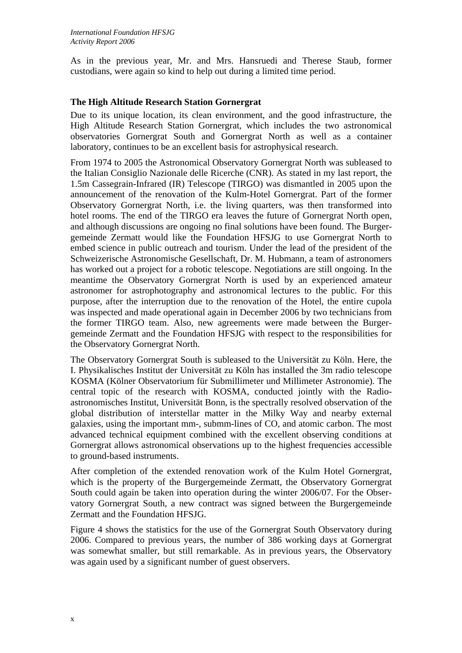As in the previous year, Mr. and Mrs. Hansruedi and Therese Staub, former custodians, were again so kind to help out during a limited time period.

#### **The High Altitude Research Station Gornergrat**

Due to its unique location, its clean environment, and the good infrastructure, the High Altitude Research Station Gornergrat, which includes the two astronomical observatories Gornergrat South and Gornergrat North as well as a container laboratory, continues to be an excellent basis for astrophysical research.

From 1974 to 2005 the Astronomical Observatory Gornergrat North was subleased to the Italian Consiglio Nazionale delle Ricerche (CNR). As stated in my last report, the 1.5m Cassegrain-Infrared (IR) Telescope (TIRGO) was dismantled in 2005 upon the announcement of the renovation of the Kulm-Hotel Gornergrat. Part of the former Observatory Gornergrat North, i.e. the living quarters, was then transformed into hotel rooms. The end of the TIRGO era leaves the future of Gornergrat North open, and although discussions are ongoing no final solutions have been found. The Burgergemeinde Zermatt would like the Foundation HFSJG to use Gornergrat North to embed science in public outreach and tourism. Under the lead of the president of the Schweizerische Astronomische Gesellschaft, Dr. M. Hubmann, a team of astronomers has worked out a project for a robotic telescope. Negotiations are still ongoing. In the meantime the Observatory Gornergrat North is used by an experienced amateur astronomer for astrophotography and astronomical lectures to the public. For this purpose, after the interruption due to the renovation of the Hotel, the entire cupola was inspected and made operational again in December 2006 by two technicians from the former TIRGO team. Also, new agreements were made between the Burgergemeinde Zermatt and the Foundation HFSJG with respect to the responsibilities for the Observatory Gornergrat North.

The Observatory Gornergrat South is subleased to the Universität zu Köln. Here, the I. Physikalisches Institut der Universität zu Köln has installed the 3m radio telescope KOSMA (Kölner Observatorium für Submillimeter und Millimeter Astronomie). The central topic of the research with KOSMA, conducted jointly with the Radioastronomisches Institut, Universität Bonn, is the spectrally resolved observation of the global distribution of interstellar matter in the Milky Way and nearby external galaxies, using the important mm-, submm-lines of CO, and atomic carbon. The most advanced technical equipment combined with the excellent observing conditions at Gornergrat allows astronomical observations up to the highest frequencies accessible to ground-based instruments.

After completion of the extended renovation work of the Kulm Hotel Gornergrat, which is the property of the Burgergemeinde Zermatt, the Observatory Gornergrat South could again be taken into operation during the winter 2006/07. For the Observatory Gornergrat South, a new contract was signed between the Burgergemeinde Zermatt and the Foundation HFSJG.

Figure 4 shows the statistics for the use of the Gornergrat South Observatory during 2006. Compared to previous years, the number of 386 working days at Gornergrat was somewhat smaller, but still remarkable. As in previous years, the Observatory was again used by a significant number of guest observers.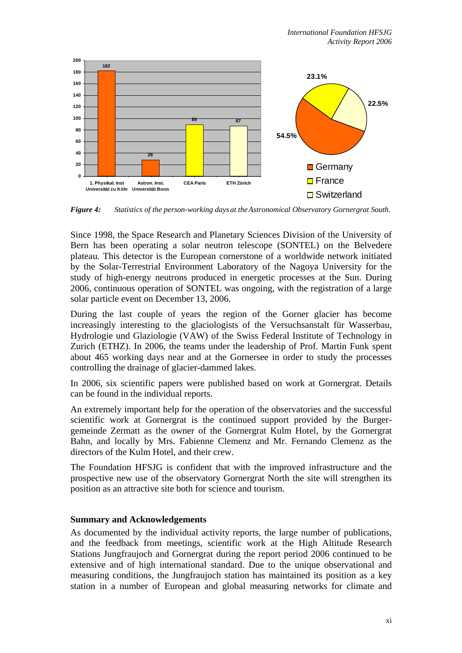

*Figure 4: Statistics of the person-working days at the Astronomical Observatory Gornergrat South.* 

Since 1998, the Space Research and Planetary Sciences Division of the University of Bern has been operating a solar neutron telescope (SONTEL) on the Belvedere plateau. This detector is the European cornerstone of a worldwide network initiated by the Solar-Terrestrial Environment Laboratory of the Nagoya University for the study of high-energy neutrons produced in energetic processes at the Sun. During 2006, continuous operation of SONTEL was ongoing, with the registration of a large solar particle event on December 13, 2006.

During the last couple of years the region of the Gorner glacier has become increasingly interesting to the glaciologists of the Versuchsanstalt für Wasserbau, Hydrologie und Glaziologie (VAW) of the Swiss Federal Institute of Technology in Zurich (ETHZ). In 2006, the teams under the leadership of Prof. Martin Funk spent about 465 working days near and at the Gornersee in order to study the processes controlling the drainage of glacier-dammed lakes.

In 2006, six scientific papers were published based on work at Gornergrat. Details can be found in the individual reports.

An extremely important help for the operation of the observatories and the successful scientific work at Gornergrat is the continued support provided by the Burgergemeinde Zermatt as the owner of the Gornergrat Kulm Hotel, by the Gornergrat Bahn, and locally by Mrs. Fabienne Clemenz and Mr. Fernando Clemenz as the directors of the Kulm Hotel, and their crew.

The Foundation HFSJG is confident that with the improved infrastructure and the prospective new use of the observatory Gornergrat North the site will strengthen its position as an attractive site both for science and tourism.

#### **Summary and Acknowledgements**

As documented by the individual activity reports, the large number of publications, and the feedback from meetings, scientific work at the High Altitude Research Stations Jungfraujoch and Gornergrat during the report period 2006 continued to be extensive and of high international standard. Due to the unique observational and measuring conditions, the Jungfraujoch station has maintained its position as a key station in a number of European and global measuring networks for climate and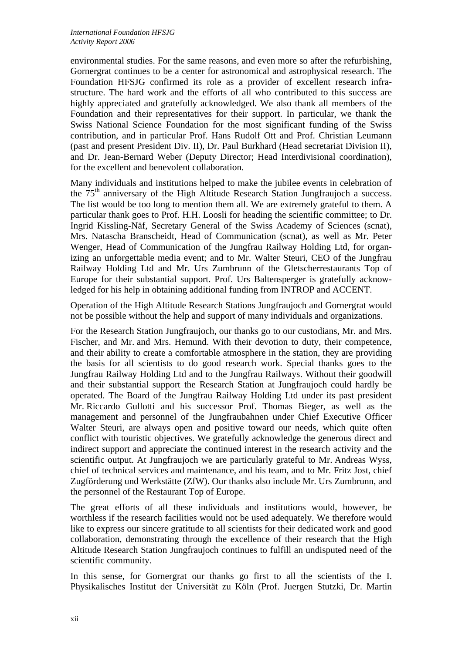environmental studies. For the same reasons, and even more so after the refurbishing, Gornergrat continues to be a center for astronomical and astrophysical research. The Foundation HFSJG confirmed its role as a provider of excellent research infrastructure. The hard work and the efforts of all who contributed to this success are highly appreciated and gratefully acknowledged. We also thank all members of the Foundation and their representatives for their support. In particular, we thank the Swiss National Science Foundation for the most significant funding of the Swiss contribution, and in particular Prof. Hans Rudolf Ott and Prof. Christian Leumann (past and present President Div. II), Dr. Paul Burkhard (Head secretariat Division II), and Dr. Jean-Bernard Weber (Deputy Director; Head Interdivisional coordination), for the excellent and benevolent collaboration.

Many individuals and institutions helped to make the jubilee events in celebration of the  $75<sup>th</sup>$  anniversary of the High Altitude Research Station Jungfraujoch a success. The list would be too long to mention them all. We are extremely grateful to them. A particular thank goes to Prof. H.H. Loosli for heading the scientific committee; to Dr. Ingrid Kissling-Näf, Secretary General of the Swiss Academy of Sciences (scnat), Mrs. Natascha Branscheidt, Head of Communication (scnat), as well as Mr. Peter Wenger, Head of Communication of the Jungfrau Railway Holding Ltd, for organizing an unforgettable media event; and to Mr. Walter Steuri, CEO of the Jungfrau Railway Holding Ltd and Mr. Urs Zumbrunn of the Gletscherrestaurants Top of Europe for their substantial support. Prof. Urs Baltensperger is gratefully acknowledged for his help in obtaining additional funding from INTROP and ACCENT.

Operation of the High Altitude Research Stations Jungfraujoch and Gornergrat would not be possible without the help and support of many individuals and organizations.

For the Research Station Jungfraujoch, our thanks go to our custodians, Mr. and Mrs. Fischer, and Mr. and Mrs. Hemund. With their devotion to duty, their competence, and their ability to create a comfortable atmosphere in the station, they are providing the basis for all scientists to do good research work. Special thanks goes to the Jungfrau Railway Holding Ltd and to the Jungfrau Railways. Without their goodwill and their substantial support the Research Station at Jungfraujoch could hardly be operated. The Board of the Jungfrau Railway Holding Ltd under its past president Mr. Riccardo Gullotti and his successor Prof. Thomas Bieger, as well as the management and personnel of the Jungfraubahnen under Chief Executive Officer Walter Steuri, are always open and positive toward our needs, which quite often conflict with touristic objectives. We gratefully acknowledge the generous direct and indirect support and appreciate the continued interest in the research activity and the scientific output. At Jungfraujoch we are particularly grateful to Mr. Andreas Wyss, chief of technical services and maintenance, and his team, and to Mr. Fritz Jost, chief Zugförderung und Werkstätte (ZfW). Our thanks also include Mr. Urs Zumbrunn, and the personnel of the Restaurant Top of Europe.

The great efforts of all these individuals and institutions would, however, be worthless if the research facilities would not be used adequately. We therefore would like to express our sincere gratitude to all scientists for their dedicated work and good collaboration, demonstrating through the excellence of their research that the High Altitude Research Station Jungfraujoch continues to fulfill an undisputed need of the scientific community.

In this sense, for Gornergrat our thanks go first to all the scientists of the I. Physikalisches Institut der Universität zu Köln (Prof. Juergen Stutzki, Dr. Martin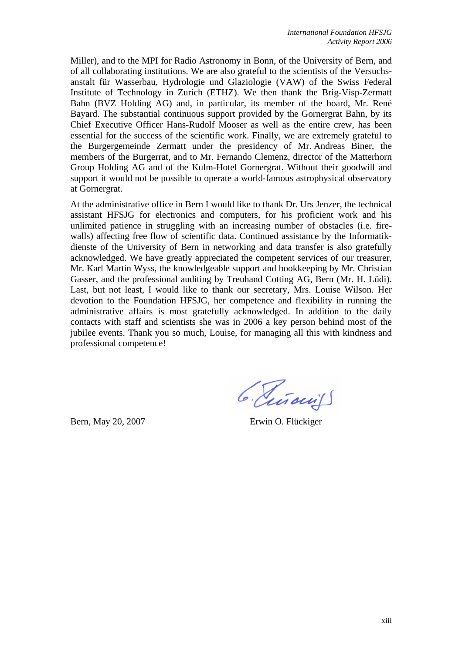Miller), and to the MPI for Radio Astronomy in Bonn, of the University of Bern, and of all collaborating institutions. We are also grateful to the scientists of the Versuchsanstalt für Wasserbau, Hydrologie und Glaziologie (VAW) of the Swiss Federal Institute of Technology in Zurich (ETHZ). We then thank the Brig-Visp-Zermatt Bahn (BVZ Holding AG) and, in particular, its member of the board, Mr. René Bayard. The substantial continuous support provided by the Gornergrat Bahn, by its Chief Executive Officer Hans-Rudolf Mooser as well as the entire crew, has been essential for the success of the scientific work. Finally, we are extremely grateful to the Burgergemeinde Zermatt under the presidency of Mr. Andreas Biner, the members of the Burgerrat, and to Mr. Fernando Clemenz, director of the Matterhorn Group Holding AG and of the Kulm-Hotel Gornergrat. Without their goodwill and support it would not be possible to operate a world-famous astrophysical observatory at Gornergrat.

At the administrative office in Bern I would like to thank Dr. Urs Jenzer, the technical assistant HFSJG for electronics and computers, for his proficient work and his unlimited patience in struggling with an increasing number of obstacles (i.e. firewalls) affecting free flow of scientific data. Continued assistance by the Informatikdienste of the University of Bern in networking and data transfer is also gratefully acknowledged. We have greatly appreciated the competent services of our treasurer, Mr. Karl Martin Wyss, the knowledgeable support and bookkeeping by Mr. Christian Gasser, and the professional auditing by Treuhand Cotting AG, Bern (Mr. H. Lüdi). Last, but not least, I would like to thank our secretary, Mrs. Louise Wilson. Her devotion to the Foundation HFSJG, her competence and flexibility in running the administrative affairs is most gratefully acknowledged. In addition to the daily contacts with staff and scientists she was in 2006 a key person behind most of the jubilee events. Thank you so much, Louise, for managing all this with kindness and professional competence!

6. Piñaciis

Bern, May 20, 2007 Erwin O. Flückiger